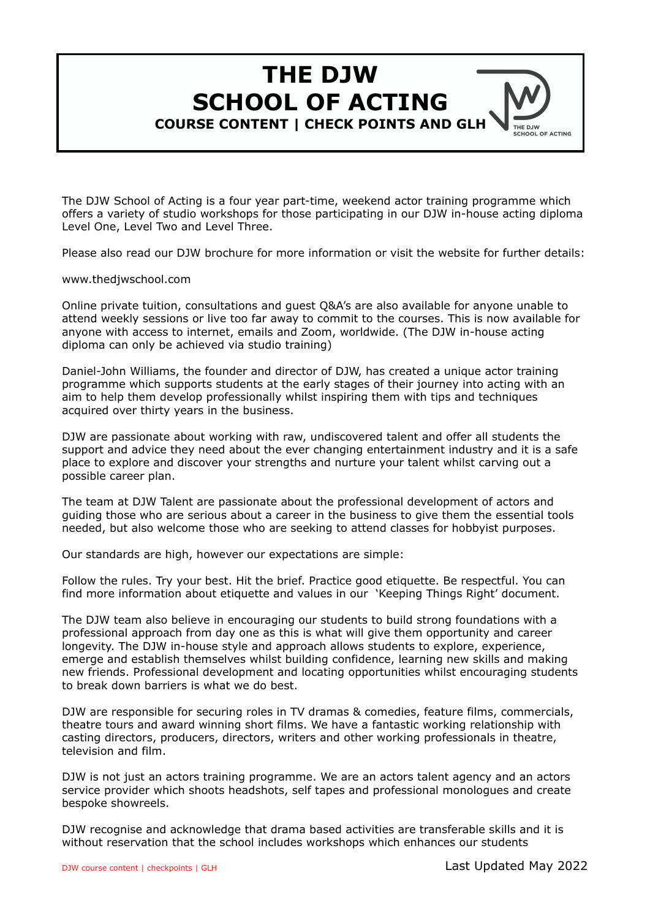# **THE DJW SCHOOL OF ACTING COURSE CONTENT | CHECK POINTS AND GLH**

The DJW School of Acting is a four year part-time, weekend actor training programme which offers a variety of studio workshops for those participating in our DJW in-house acting diploma Level One, Level Two and Level Three.

Please also read our DJW brochure for more information or visit the website for further details:

#### [www.thedjwschool.com](http://www.thedjwschool.com/)

Online private tuition, consultations and guest Q&A's are also available for anyone unable to attend weekly sessions or live too far away to commit to the courses. This is now available for anyone with access to internet, emails and Zoom, worldwide. (The DJW in-house acting diploma can only be achieved via studio training)

Daniel-John Williams, the founder and director of DJW, has created a unique actor training programme which supports students at the early stages of their journey into acting with an aim to help them develop professionally whilst inspiring them with tips and techniques acquired over thirty years in the business.

DJW are passionate about working with raw, undiscovered talent and offer all students the support and advice they need about the ever changing entertainment industry and it is a safe place to explore and discover your strengths and nurture your talent whilst carving out a possible career plan.

The team at DJW Talent are passionate about the professional development of actors and guiding those who are serious about a career in the business to give them the essential tools needed, but also welcome those who are seeking to attend classes for hobbyist purposes.

Our standards are high, however our expectations are simple:

Follow the rules. Try your best. Hit the brief. Practice good etiquette. Be respectful. You can find more information about etiquette and values in our 'Keeping Things Right' document.

The DJW team also believe in encouraging our students to build strong foundations with a professional approach from day one as this is what will give them opportunity and career longevity. The DJW in-house style and approach allows students to explore, experience, emerge and establish themselves whilst building confidence, learning new skills and making new friends. Professional development and locating opportunities whilst encouraging students to break down barriers is what we do best.

DJW are responsible for securing roles in TV dramas & comedies, feature films, commercials, theatre tours and award winning short films. We have a fantastic working relationship with casting directors, producers, directors, writers and other working professionals in theatre, television and film.

DJW is not just an actors training programme. We are an actors talent agency and an actors service provider which shoots headshots, self tapes and professional monologues and create bespoke showreels.

DJW recognise and acknowledge that drama based activities are transferable skills and it is without reservation that the school includes workshops which enhances our students

**THE D.IW** CHOOL OF ACTING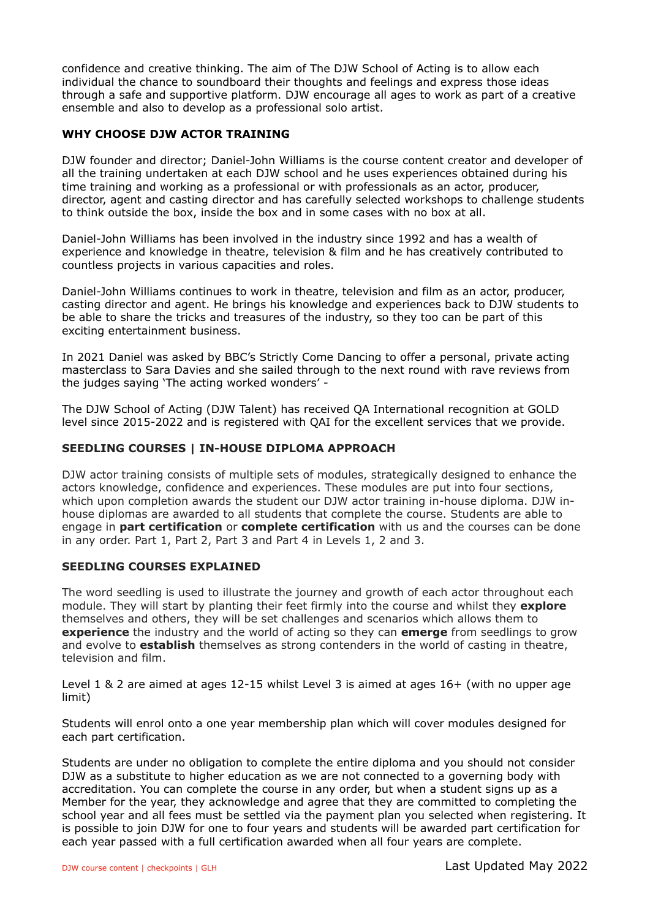confidence and creative thinking. The aim of The DJW School of Acting is to allow each individual the chance to soundboard their thoughts and feelings and express those ideas through a safe and supportive platform. DJW encourage all ages to work as part of a creative ensemble and also to develop as a professional solo artist.

## **WHY CHOOSE DJW ACTOR TRAINING**

DJW founder and director; Daniel-John Williams is the course content creator and developer of all the training undertaken at each DJW school and he uses experiences obtained during his time training and working as a professional or with professionals as an actor, producer, director, agent and casting director and has carefully selected workshops to challenge students to think outside the box, inside the box and in some cases with no box at all.

Daniel-John Williams has been involved in the industry since 1992 and has a wealth of experience and knowledge in theatre, television & film and he has creatively contributed to countless projects in various capacities and roles.

Daniel-John Williams continues to work in theatre, television and film as an actor, producer, casting director and agent. He brings his knowledge and experiences back to DJW students to be able to share the tricks and treasures of the industry, so they too can be part of this exciting entertainment business.

In 2021 Daniel was asked by BBC's Strictly Come Dancing to offer a personal, private acting masterclass to Sara Davies and she sailed through to the next round with rave reviews from the judges saying 'The acting worked wonders' -

The DJW School of Acting (DJW Talent) has received QA International recognition at GOLD level since 2015-2022 and is registered with QAI for the excellent services that we provide.

## **SEEDLING COURSES | IN-HOUSE DIPLOMA APPROACH**

DJW actor training consists of multiple sets of modules, strategically designed to enhance the actors knowledge, confidence and experiences. These modules are put into four sections, which upon completion awards the student our DJW actor training in-house diploma. DJW inhouse diplomas are awarded to all students that complete the course. Students are able to engage in **part certification** or **complete certification** with us and the courses can be done in any order. Part 1, Part 2, Part 3 and Part 4 in Levels 1, 2 and 3.

#### **SEEDLING COURSES EXPLAINED**

The word seedling is used to illustrate the journey and growth of each actor throughout each module. They will start by planting their feet firmly into the course and whilst they **explore** themselves and others, they will be set challenges and scenarios which allows them to **experience** the industry and the world of acting so they can **emerge** from seedlings to grow and evolve to **establish** themselves as strong contenders in the world of casting in theatre, television and film.

Level 1 & 2 are aimed at ages 12-15 whilst Level 3 is aimed at ages 16+ (with no upper age limit)

Students will enrol onto a one year membership plan which will cover modules designed for each part certification.

Students are under no obligation to complete the entire diploma and you should not consider DJW as a substitute to higher education as we are not connected to a governing body with accreditation. You can complete the course in any order, but when a student signs up as a Member for the year, they acknowledge and agree that they are committed to completing the school year and all fees must be settled via the payment plan you selected when registering. It is possible to join DJW for one to four years and students will be awarded part certification for each year passed with a full certification awarded when all four years are complete.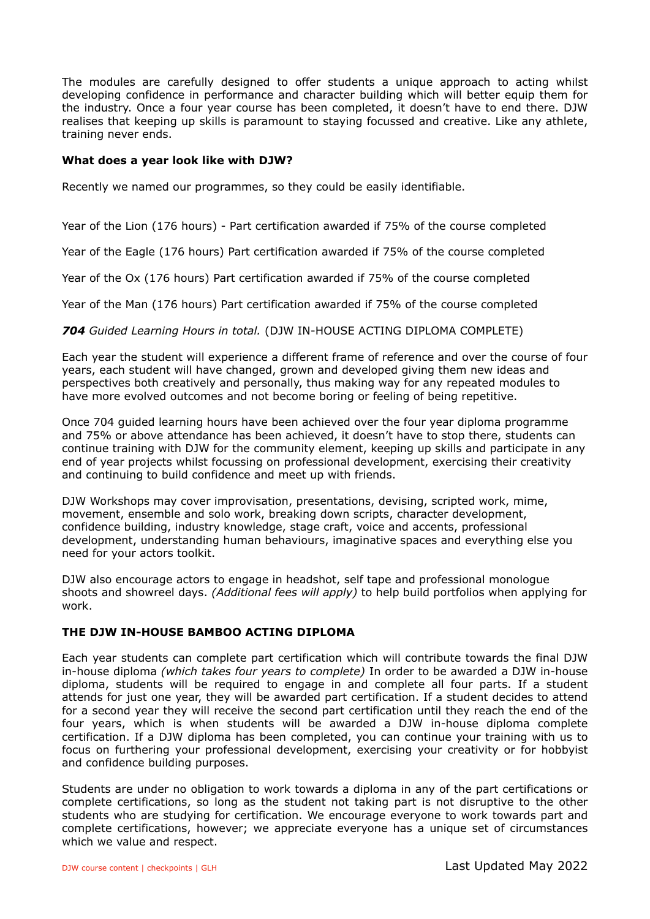The modules are carefully designed to offer students a unique approach to acting whilst developing confidence in performance and character building which will better equip them for the industry. Once a four year course has been completed, it doesn't have to end there. DJW realises that keeping up skills is paramount to staying focussed and creative. Like any athlete, training never ends.

#### **What does a year look like with DJW?**

Recently we named our programmes, so they could be easily identifiable.

Year of the Lion (176 hours) - Part certification awarded if 75% of the course completed

Year of the Eagle (176 hours) Part certification awarded if 75% of the course completed

Year of the Ox (176 hours) Part certification awarded if 75% of the course completed

Year of the Man (176 hours) Part certification awarded if 75% of the course completed

*704 Guided Learning Hours in total.* (DJW IN-HOUSE ACTING DIPLOMA COMPLETE)

Each year the student will experience a different frame of reference and over the course of four years, each student will have changed, grown and developed giving them new ideas and perspectives both creatively and personally, thus making way for any repeated modules to have more evolved outcomes and not become boring or feeling of being repetitive.

Once 704 guided learning hours have been achieved over the four year diploma programme and 75% or above attendance has been achieved, it doesn't have to stop there, students can continue training with DJW for the community element, keeping up skills and participate in any end of year projects whilst focussing on professional development, exercising their creativity and continuing to build confidence and meet up with friends.

DJW Workshops may cover improvisation, presentations, devising, scripted work, mime, movement, ensemble and solo work, breaking down scripts, character development, confidence building, industry knowledge, stage craft, voice and accents, professional development, understanding human behaviours, imaginative spaces and everything else you need for your actors toolkit.

DJW also encourage actors to engage in headshot, self tape and professional monologue shoots and showreel days. *(Additional fees will apply)* to help build portfolios when applying for work.

#### **THE DJW IN-HOUSE BAMBOO ACTING DIPLOMA**

Each year students can complete part certification which will contribute towards the final DJW in-house diploma *(which takes four years to complete)* In order to be awarded a DJW in-house diploma, students will be required to engage in and complete all four parts. If a student attends for just one year, they will be awarded part certification. If a student decides to attend for a second year they will receive the second part certification until they reach the end of the four years, which is when students will be awarded a DJW in-house diploma complete certification. If a DJW diploma has been completed, you can continue your training with us to focus on furthering your professional development, exercising your creativity or for hobbyist and confidence building purposes.

Students are under no obligation to work towards a diploma in any of the part certifications or complete certifications, so long as the student not taking part is not disruptive to the other students who are studying for certification. We encourage everyone to work towards part and complete certifications, however; we appreciate everyone has a unique set of circumstances which we value and respect.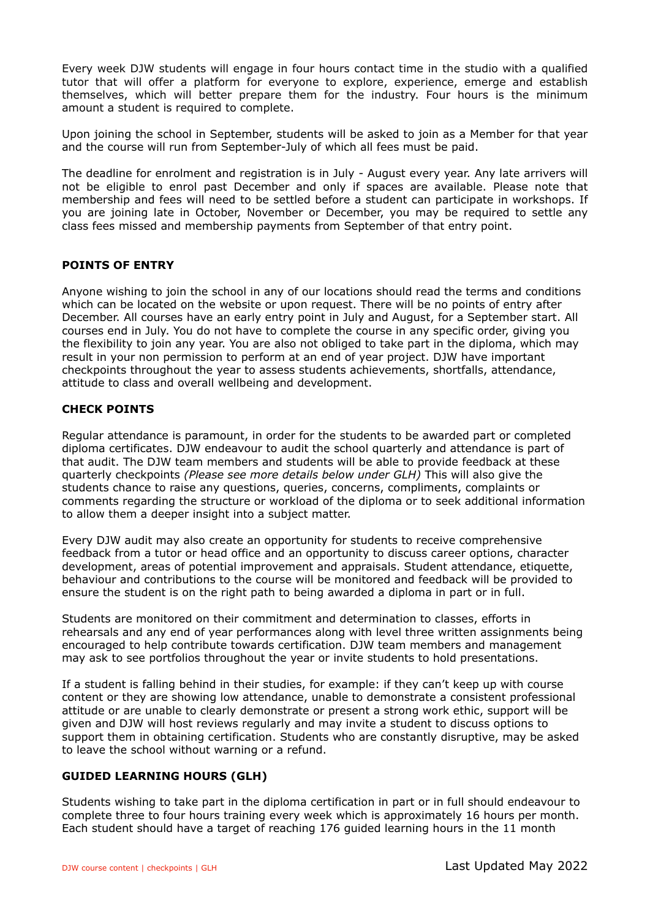Every week DJW students will engage in four hours contact time in the studio with a qualified tutor that will offer a platform for everyone to explore, experience, emerge and establish themselves, which will better prepare them for the industry. Four hours is the minimum amount a student is required to complete.

Upon joining the school in September, students will be asked to join as a Member for that year and the course will run from September-July of which all fees must be paid.

The deadline for enrolment and registration is in July - August every year. Any late arrivers will not be eligible to enrol past December and only if spaces are available. Please note that membership and fees will need to be settled before a student can participate in workshops. If you are joining late in October, November or December, you may be required to settle any class fees missed and membership payments from September of that entry point.

## **POINTS OF ENTRY**

Anyone wishing to join the school in any of our locations should read the terms and conditions which can be located on the website or upon request. There will be no points of entry after December. All courses have an early entry point in July and August, for a September start. All courses end in July. You do not have to complete the course in any specific order, giving you the flexibility to join any year. You are also not obliged to take part in the diploma, which may result in your non permission to perform at an end of year project. DJW have important checkpoints throughout the year to assess students achievements, shortfalls, attendance, attitude to class and overall wellbeing and development.

## **CHECK POINTS**

Regular attendance is paramount, in order for the students to be awarded part or completed diploma certificates. DJW endeavour to audit the school quarterly and attendance is part of that audit. The DJW team members and students will be able to provide feedback at these quarterly checkpoints *(Please see more details below under GLH)* This will also give the students chance to raise any questions, queries, concerns, compliments, complaints or comments regarding the structure or workload of the diploma or to seek additional information to allow them a deeper insight into a subject matter.

Every DJW audit may also create an opportunity for students to receive comprehensive feedback from a tutor or head office and an opportunity to discuss career options, character development, areas of potential improvement and appraisals. Student attendance, etiquette, behaviour and contributions to the course will be monitored and feedback will be provided to ensure the student is on the right path to being awarded a diploma in part or in full.

Students are monitored on their commitment and determination to classes, efforts in rehearsals and any end of year performances along with level three written assignments being encouraged to help contribute towards certification. DJW team members and management may ask to see portfolios throughout the year or invite students to hold presentations.

If a student is falling behind in their studies, for example: if they can't keep up with course content or they are showing low attendance, unable to demonstrate a consistent professional attitude or are unable to clearly demonstrate or present a strong work ethic, support will be given and DJW will host reviews regularly and may invite a student to discuss options to support them in obtaining certification. Students who are constantly disruptive, may be asked to leave the school without warning or a refund.

#### **GUIDED LEARNING HOURS (GLH)**

Students wishing to take part in the diploma certification in part or in full should endeavour to complete three to four hours training every week which is approximately 16 hours per month. Each student should have a target of reaching 176 guided learning hours in the 11 month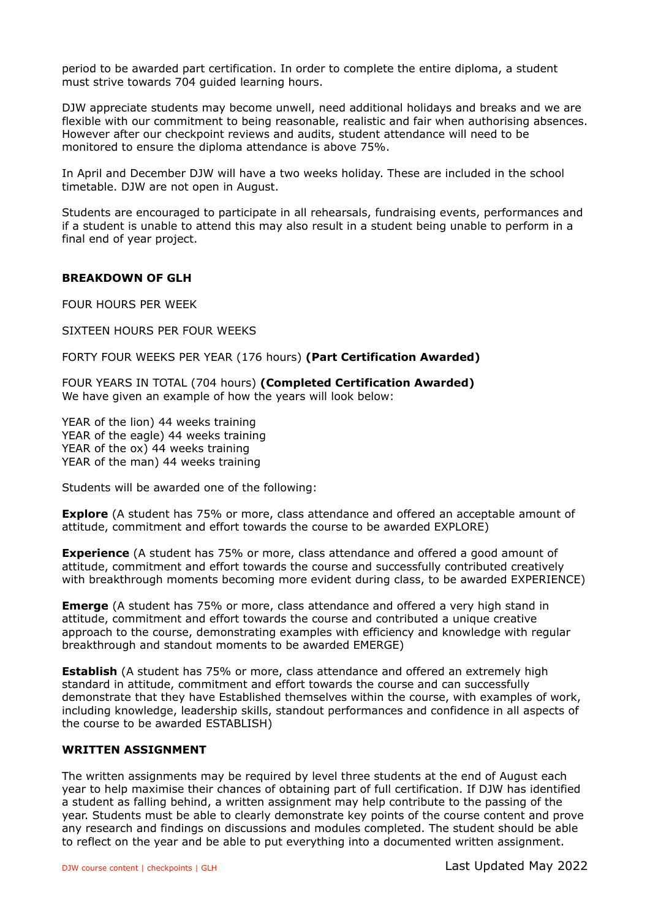period to be awarded part certification. In order to complete the entire diploma, a student must strive towards 704 guided learning hours.

DJW appreciate students may become unwell, need additional holidays and breaks and we are flexible with our commitment to being reasonable, realistic and fair when authorising absences. However after our checkpoint reviews and audits, student attendance will need to be monitored to ensure the diploma attendance is above 75%.

In April and December DJW will have a two weeks holiday. These are included in the school timetable. DJW are not open in August.

Students are encouraged to participate in all rehearsals, fundraising events, performances and if a student is unable to attend this may also result in a student being unable to perform in a final end of year project.

#### **BREAKDOWN OF GLH**

FOUR HOURS PER WEEK

SIXTEEN HOURS PER FOUR WEEKS

FORTY FOUR WEEKS PER YEAR (176 hours) **(Part Certification Awarded)** 

FOUR YEARS IN TOTAL (704 hours) **(Completed Certification Awarded)**  We have given an example of how the years will look below:

YEAR of the lion) 44 weeks training YEAR of the eagle) 44 weeks training YEAR of the ox) 44 weeks training YEAR of the man) 44 weeks training

Students will be awarded one of the following:

**Explore** (A student has 75% or more, class attendance and offered an acceptable amount of attitude, commitment and effort towards the course to be awarded EXPLORE)

**Experience** (A student has 75% or more, class attendance and offered a good amount of attitude, commitment and effort towards the course and successfully contributed creatively with breakthrough moments becoming more evident during class, to be awarded EXPERIENCE)

**Emerge** (A student has 75% or more, class attendance and offered a very high stand in attitude, commitment and effort towards the course and contributed a unique creative approach to the course, demonstrating examples with efficiency and knowledge with regular breakthrough and standout moments to be awarded EMERGE)

**Establish** (A student has 75% or more, class attendance and offered an extremely high standard in attitude, commitment and effort towards the course and can successfully demonstrate that they have Established themselves within the course, with examples of work, including knowledge, leadership skills, standout performances and confidence in all aspects of the course to be awarded ESTABLISH)

#### **WRITTEN ASSIGNMENT**

The written assignments may be required by level three students at the end of August each year to help maximise their chances of obtaining part of full certification. If DJW has identified a student as falling behind, a written assignment may help contribute to the passing of the year. Students must be able to clearly demonstrate key points of the course content and prove any research and findings on discussions and modules completed. The student should be able to reflect on the year and be able to put everything into a documented written assignment.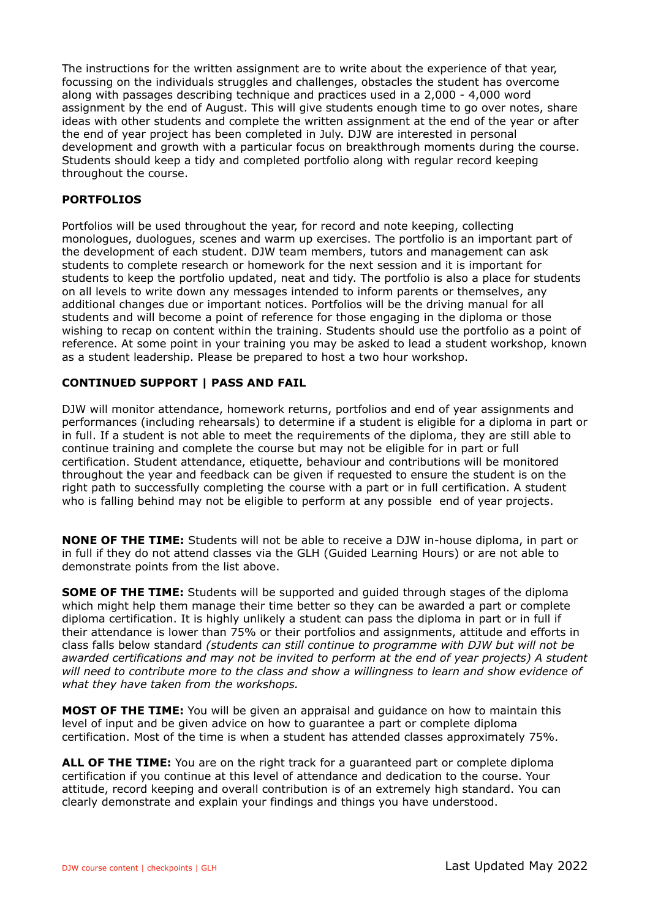The instructions for the written assignment are to write about the experience of that year, focussing on the individuals struggles and challenges, obstacles the student has overcome along with passages describing technique and practices used in a 2,000 - 4,000 word assignment by the end of August. This will give students enough time to go over notes, share ideas with other students and complete the written assignment at the end of the year or after the end of year project has been completed in July. DJW are interested in personal development and growth with a particular focus on breakthrough moments during the course. Students should keep a tidy and completed portfolio along with regular record keeping throughout the course.

## **PORTFOLIOS**

Portfolios will be used throughout the year, for record and note keeping, collecting monologues, duologues, scenes and warm up exercises. The portfolio is an important part of the development of each student. DJW team members, tutors and management can ask students to complete research or homework for the next session and it is important for students to keep the portfolio updated, neat and tidy. The portfolio is also a place for students on all levels to write down any messages intended to inform parents or themselves, any additional changes due or important notices. Portfolios will be the driving manual for all students and will become a point of reference for those engaging in the diploma or those wishing to recap on content within the training. Students should use the portfolio as a point of reference. At some point in your training you may be asked to lead a student workshop, known as a student leadership. Please be prepared to host a two hour workshop.

## **CONTINUED SUPPORT | PASS AND FAIL**

DJW will monitor attendance, homework returns, portfolios and end of year assignments and performances (including rehearsals) to determine if a student is eligible for a diploma in part or in full. If a student is not able to meet the requirements of the diploma, they are still able to continue training and complete the course but may not be eligible for in part or full certification. Student attendance, etiquette, behaviour and contributions will be monitored throughout the year and feedback can be given if requested to ensure the student is on the right path to successfully completing the course with a part or in full certification. A student who is falling behind may not be eligible to perform at any possible end of year projects.

**NONE OF THE TIME:** Students will not be able to receive a DJW in-house diploma, in part or in full if they do not attend classes via the GLH (Guided Learning Hours) or are not able to demonstrate points from the list above.

**SOME OF THE TIME:** Students will be supported and quided through stages of the diploma which might help them manage their time better so they can be awarded a part or complete diploma certification. It is highly unlikely a student can pass the diploma in part or in full if their attendance is lower than 75% or their portfolios and assignments, attitude and efforts in class falls below standard *(students can still continue to programme with DJW but will not be awarded certifications and may not be invited to perform at the end of year projects) A student will need to contribute more to the class and show a willingness to learn and show evidence of what they have taken from the workshops.*

**MOST OF THE TIME:** You will be given an appraisal and guidance on how to maintain this level of input and be given advice on how to guarantee a part or complete diploma certification. Most of the time is when a student has attended classes approximately 75%.

**ALL OF THE TIME:** You are on the right track for a guaranteed part or complete diploma certification if you continue at this level of attendance and dedication to the course. Your attitude, record keeping and overall contribution is of an extremely high standard. You can clearly demonstrate and explain your findings and things you have understood.